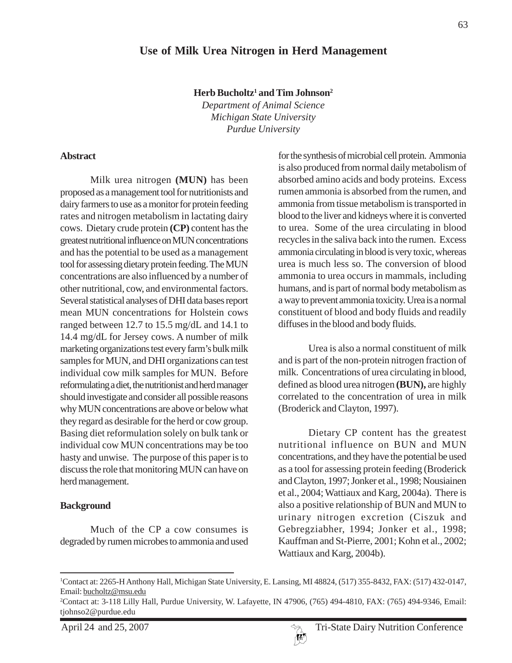**Herb Bucholtz1 and Tim Johnson2**

*Department of Animal Science Michigan State University Purdue University*

#### **Abstract**

Milk urea nitrogen **(MUN)** has been proposed as a management tool for nutritionists and dairy farmers to use as a monitor for protein feeding rates and nitrogen metabolism in lactating dairy cows. Dietary crude protein **(CP)** content has the greatest nutritional influence on MUN concentrations and has the potential to be used as a management tool for assessing dietary protein feeding. The MUN concentrations are also influenced by a number of other nutritional, cow, and environmental factors. Several statistical analyses of DHI data bases report mean MUN concentrations for Holstein cows ranged between 12.7 to 15.5 mg/dL and 14.1 to 14.4 mg/dL for Jersey cows. A number of milk marketing organizations test every farm's bulk milk samples for MUN, and DHI organizations can test individual cow milk samples for MUN. Before reformulating a diet, the nutritionist and herd manager should investigate and consider all possible reasons why MUN concentrations are above or below what they regard as desirable for the herd or cow group. Basing diet reformulation solely on bulk tank or individual cow MUN concentrations may be too hasty and unwise. The purpose of this paper is to discuss the role that monitoring MUN can have on herd management.

#### **Background**

Much of the CP a cow consumes is degraded by rumen microbes to ammonia and used for the synthesis of microbial cell protein. Ammonia is also produced from normal daily metabolism of absorbed amino acids and body proteins. Excess rumen ammonia is absorbed from the rumen, and ammonia from tissue metabolism is transported in blood to the liver and kidneys where it is converted to urea. Some of the urea circulating in blood recycles in the saliva back into the rumen. Excess ammonia circulating in blood is very toxic, whereas urea is much less so. The conversion of blood ammonia to urea occurs in mammals, including humans, and is part of normal body metabolism as a way to prevent ammonia toxicity. Urea is a normal constituent of blood and body fluids and readily diffuses in the blood and body fluids.

Urea is also a normal constituent of milk and is part of the non-protein nitrogen fraction of milk. Concentrations of urea circulating in blood, defined as blood urea nitrogen **(BUN),** are highly correlated to the concentration of urea in milk (Broderick and Clayton, 1997).

Dietary CP content has the greatest nutritional influence on BUN and MUN concentrations, and they have the potential be used as a tool for assessing protein feeding (Broderick and Clayton, 1997; Jonker et al., 1998; Nousiainen et al., 2004; Wattiaux and Karg, 2004a). There is also a positive relationship of BUN and MUN to urinary nitrogen excretion (Ciszuk and Gebregziabher, 1994; Jonker et al., 1998; Kauffman and St-Pierre, 2001; Kohn et al., 2002; Wattiaux and Karg, 2004b).



<sup>1</sup> Contact at: 2265-H Anthony Hall, Michigan State University, E. Lansing, MI 48824, (517) 355-8432, FAX: (517) 432-0147, Email: bucholtz@msu.edu

<sup>2</sup> Contact at: 3-118 Lilly Hall, Purdue University, W. Lafayette, IN 47906, (765) 494-4810, FAX: (765) 494-9346, Email: tjohnso2@purdue.edu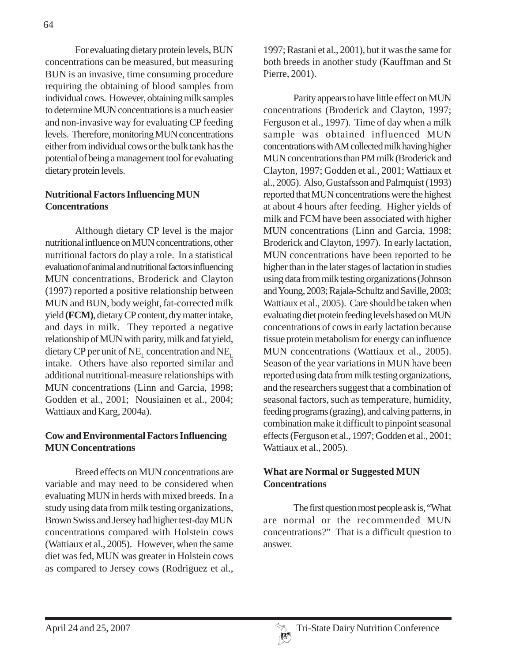For evaluating dietary protein levels, BUN concentrations can be measured, but measuring BUN is an invasive, time consuming procedure requiring the obtaining of blood samples from individual cows. However, obtaining milk samples to determine MUN concentrations is a much easier and non-invasive way for evaluating CP feeding levels. Therefore, monitoring MUN concentrations either from individual cows or the bulk tank has the potential of being a management tool for evaluating dietary protein levels.

# **Nutritional Factors Influencing MUN Concentrations**

Although dietary CP level is the major nutritional influence on MUN concentrations, other nutritional factors do play a role. In a statistical evaluation of animal and nutritional factors influencing MUN concentrations, Broderick and Clayton (1997) reported a positive relationship between MUN and BUN, body weight, fat-corrected milk yield **(FCM)**, dietary CP content, dry matter intake, and days in milk. They reported a negative relationship of MUN with parity, milk and fat yield, dietary CP per unit of NE<sub>L</sub> concentration and NE<sub>L</sub> intake. Others have also reported similar and additional nutritional-measure relationships with MUN concentrations (Linn and Garcia, 1998; Godden et al., 2001; Nousiainen et al., 2004; Wattiaux and Karg, 2004a).

## **Cow and Environmental Factors Influencing MUN Concentrations**

Breed effects on MUN concentrations are variable and may need to be considered when evaluating MUN in herds with mixed breeds. In a study using data from milk testing organizations, Brown Swiss and Jersey had higher test-day MUN concentrations compared with Holstein cows (Wattiaux et al., 2005). However, when the same diet was fed, MUN was greater in Holstein cows as compared to Jersey cows (Rodriguez et al.,

1997; Rastani et al., 2001), but it was the same for both breeds in another study (Kauffman and St Pierre, 2001).

Parity appears to have little effect on MUN concentrations (Broderick and Clayton, 1997; Ferguson et al., 1997). Time of day when a milk sample was obtained influenced MUN concentrations with AM collected milk having higher MUN concentrations than PM milk (Broderick and Clayton, 1997; Godden et al., 2001; Wattiaux et al., 2005). Also, Gustafsson and Palmquist (1993) reported that MUN concentrations were the highest at about 4 hours after feeding. Higher yields of milk and FCM have been associated with higher MUN concentrations (Linn and Garcia, 1998; Broderick and Clayton, 1997). In early lactation, MUN concentrations have been reported to be higher than in the later stages of lactation in studies using data from milk testing organizations (Johnson and Young, 2003; Rajala-Schultz and Saville, 2003; Wattiaux et al., 2005). Care should be taken when evaluating diet protein feeding levels based on MUN concentrations of cows in early lactation because tissue protein metabolism for energy can influence MUN concentrations (Wattiaux et al., 2005). Season of the year variations in MUN have been reported using data from milk testing organizations, and the researchers suggest that a combination of seasonal factors, such as temperature, humidity, feeding programs (grazing), and calving patterns, in combination make it difficult to pinpoint seasonal effects (Ferguson et al., 1997; Godden et al., 2001; Wattiaux et al., 2005).

## **What are Normal or Suggested MUN Concentrations**

The first question most people ask is, "What are normal or the recommended MUN concentrations?" That is a difficult question to answer.

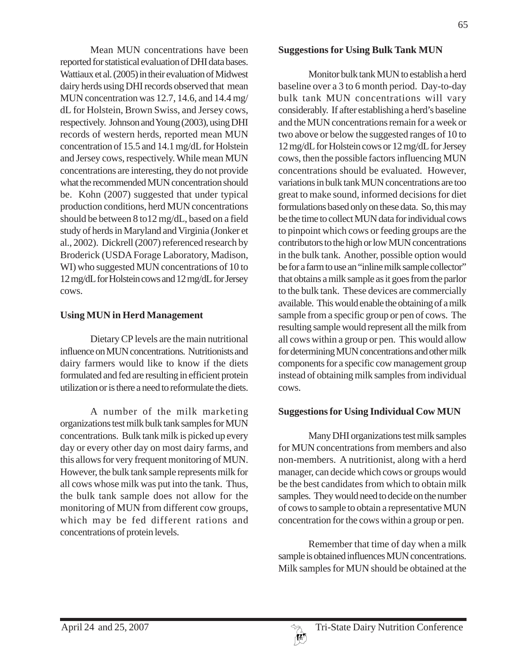Mean MUN concentrations have been reported for statistical evaluation of DHI data bases. Wattiaux et al. (2005) in their evaluation of Midwest dairy herds using DHI records observed that mean MUN concentration was 12.7, 14.6, and 14.4 mg/ dL for Holstein, Brown Swiss, and Jersey cows, respectively. Johnson and Young (2003), using DHI records of western herds, reported mean MUN concentration of 15.5 and 14.1 mg/dL for Holstein and Jersey cows, respectively. While mean MUN concentrations are interesting, they do not provide what the recommended MUN concentration should be. Kohn (2007) suggested that under typical production conditions, herd MUN concentrations should be between 8 to12 mg/dL, based on a field study of herds in Maryland and Virginia (Jonker et al., 2002). Dickrell (2007) referenced research by Broderick (USDA Forage Laboratory, Madison, WI) who suggested MUN concentrations of 10 to 12 mg/dL for Holstein cows and 12 mg/dL for Jersey cows.

#### **Using MUN in Herd Management**

Dietary CP levels are the main nutritional influence on MUN concentrations. Nutritionists and dairy farmers would like to know if the diets formulated and fed are resulting in efficient protein utilization or is there a need to reformulate the diets.

A number of the milk marketing organizations test milk bulk tank samples for MUN concentrations. Bulk tank milk is picked up every day or every other day on most dairy farms, and this allows for very frequent monitoring of MUN. However, the bulk tank sample represents milk for all cows whose milk was put into the tank. Thus, the bulk tank sample does not allow for the monitoring of MUN from different cow groups, which may be fed different rations and concentrations of protein levels.

#### **Suggestions for Using Bulk Tank MUN**

Monitor bulk tank MUN to establish a herd baseline over a 3 to 6 month period. Day-to-day bulk tank MUN concentrations will vary considerably. If after establishing a herd's baseline and the MUN concentrations remain for a week or two above or below the suggested ranges of 10 to 12 mg/dL for Holstein cows or 12 mg/dL for Jersey cows, then the possible factors influencing MUN concentrations should be evaluated. However, variations in bulk tank MUN concentrations are too great to make sound, informed decisions for diet formulations based only on these data. So, this may be the time to collect MUN data for individual cows to pinpoint which cows or feeding groups are the contributors to the high or low MUN concentrations in the bulk tank. Another, possible option would be for a farm to use an "inline milk sample collector" that obtains a milk sample as it goes from the parlor to the bulk tank. These devices are commercially available. This would enable the obtaining of a milk sample from a specific group or pen of cows. The resulting sample would represent all the milk from all cows within a group or pen. This would allow for determining MUN concentrations and other milk components for a specific cow management group instead of obtaining milk samples from individual cows.

## **Suggestions for Using Individual Cow MUN**

Many DHI organizations test milk samples for MUN concentrations from members and also non-members. A nutritionist, along with a herd manager, can decide which cows or groups would be the best candidates from which to obtain milk samples. They would need to decide on the number of cows to sample to obtain a representative MUN concentration for the cows within a group or pen.

Remember that time of day when a milk sample is obtained influences MUN concentrations. Milk samples for MUN should be obtained at the

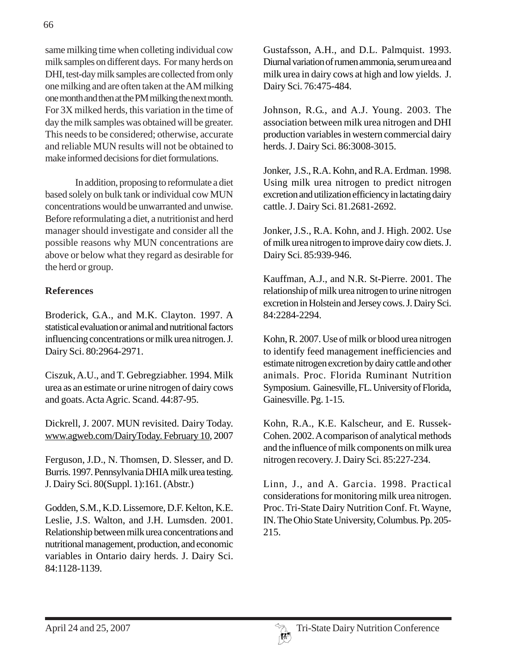same milking time when colleting individual cow milk samples on different days. For many herds on DHI, test-day milk samples are collected from only one milking and are often taken at the AM milking one month and then at the PM milking the next month. For 3X milked herds, this variation in the time of day the milk samples was obtained will be greater. This needs to be considered; otherwise, accurate and reliable MUN results will not be obtained to make informed decisions for diet formulations.

In addition, proposing to reformulate a diet based solely on bulk tank or individual cow MUN concentrations would be unwarranted and unwise. Before reformulating a diet, a nutritionist and herd manager should investigate and consider all the possible reasons why MUN concentrations are above or below what they regard as desirable for the herd or group.

## **References**

Broderick, G.A., and M.K. Clayton. 1997. A statistical evaluation or animal and nutritional factors influencing concentrations or milk urea nitrogen. J. Dairy Sci. 80:2964-2971.

Ciszuk, A.U., and T. Gebregziabher. 1994. Milk urea as an estimate or urine nitrogen of dairy cows and goats. Acta Agric. Scand. 44:87-95.

Dickrell, J. 2007. MUN revisited. Dairy Today. www.agweb.com/DairyToday. February 10, 2007

Ferguson, J.D., N. Thomsen, D. Slesser, and D. Burris. 1997. Pennsylvania DHIA milk urea testing. J. Dairy Sci. 80(Suppl. 1):161. (Abstr.)

Godden, S.M., K.D. Lissemore, D.F. Kelton, K.E. Leslie, J.S. Walton, and J.H. Lumsden. 2001. Relationship between milk urea concentrations and nutritional management, production, and economic variables in Ontario dairy herds. J. Dairy Sci. 84:1128-1139.

Gustafsson, A.H., and D.L. Palmquist. 1993. Diurnal variation of rumen ammonia, serum urea and milk urea in dairy cows at high and low yields. J. Dairy Sci. 76:475-484.

Johnson, R.G., and A.J. Young. 2003. The association between milk urea nitrogen and DHI production variables in western commercial dairy herds. J. Dairy Sci. 86:3008-3015.

Jonker, J.S., R.A. Kohn, and R.A. Erdman. 1998. Using milk urea nitrogen to predict nitrogen excretion and utilization efficiency in lactating dairy cattle. J. Dairy Sci. 81.2681-2692.

Jonker, J.S., R.A. Kohn, and J. High. 2002. Use of milk urea nitrogen to improve dairy cow diets. J. Dairy Sci. 85:939-946.

Kauffman, A.J., and N.R. St-Pierre. 2001. The relationship of milk urea nitrogen to urine nitrogen excretion in Holstein and Jersey cows. J. Dairy Sci. 84:2284-2294.

Kohn, R. 2007. Use of milk or blood urea nitrogen to identify feed management inefficiencies and estimate nitrogen excretion by dairy cattle and other animals. Proc. Florida Ruminant Nutrition Symposium. Gainesville, FL. University of Florida, Gainesville. Pg. 1-15.

Kohn, R.A., K.E. Kalscheur, and E. Russek-Cohen. 2002. A comparison of analytical methods and the influence of milk components on milk urea nitrogen recovery. J. Dairy Sci. 85:227-234.

Linn, J., and A. Garcia. 1998. Practical considerations for monitoring milk urea nitrogen. Proc. Tri-State Dairy Nutrition Conf. Ft. Wayne, IN. The Ohio State University, Columbus. Pp. 205- 215.